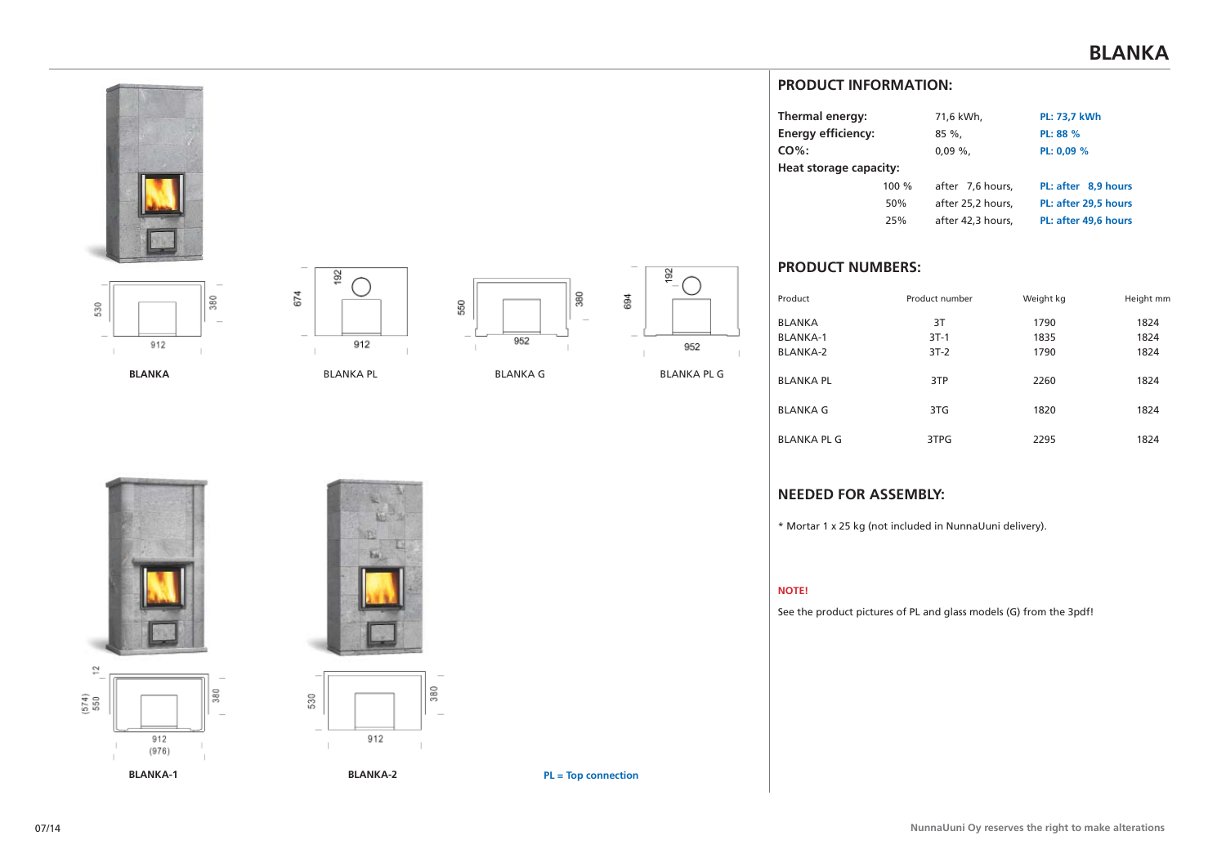



**BLANKA**



BLANKA PL



BLANKA G



## **PRODUCT INFORMATION:**

| Thermal energy:           |     | 71,6 kWh,         | PL: 73,7 kWh         |  |  |
|---------------------------|-----|-------------------|----------------------|--|--|
| <b>Energy efficiency:</b> |     | $85 \%$           | PL: 88 %             |  |  |
| $CO%$ :                   |     | $0.09\%$ .        | PL: 0,09 %           |  |  |
| Heat storage capacity:    |     |                   |                      |  |  |
| 100%                      |     | after 7,6 hours,  | PL: after 8.9 hours  |  |  |
|                           | 50% | after 25,2 hours, | PL: after 29.5 hours |  |  |
|                           | 25% | after 42.3 hours. | PL: after 49.6 hours |  |  |

# **PRODUCT NUMBERS:**

| Product            | Product number | Weight kg | Height mm |
|--------------------|----------------|-----------|-----------|
| <b>BLANKA</b>      | 3T             | 1790      | 1824      |
| <b>BLANKA-1</b>    | $3T-1$         | 1835      | 1824      |
| <b>BLANKA-2</b>    | $3T-2$         | 1790      | 1824      |
| <b>BLANKA PL</b>   | 3TP            | 2260      | 1824      |
| <b>BLANKA G</b>    | 3TG            | 1820      | 1824      |
| <b>BLANKA PL G</b> | 3TPG           | 2295      | 1824      |

### **NEEDED FOR ASSEMBLY:**

\* Mortar 1 x 25 kg (not included in NunnaUuni delivery).

#### **NOTE!**

See the product pictures of PL and glass models (G) from the 3pdf!





**BLANKA-2**

912